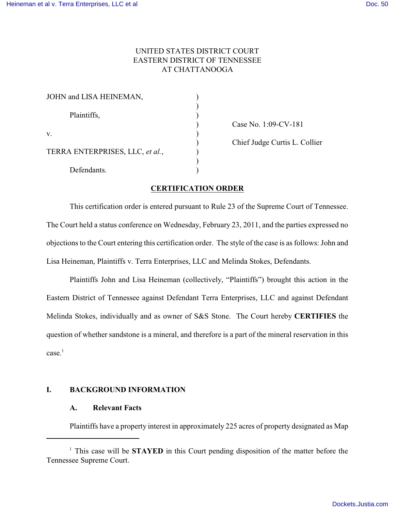# UNITED STATES DISTRICT COURT EASTERN DISTRICT OF TENNESSEE AT CHATTANOOGA

| JOHN and LISA HEINEMAN,         |  |
|---------------------------------|--|
| Plaintiffs,                     |  |
| v.                              |  |
| TERRA ENTERPRISES, LLC, et al., |  |
| Defendants.                     |  |

) Case No. 1:09-CV-181

) Chief Judge Curtis L. Collier

## **CERTIFICATION ORDER**

This certification order is entered pursuant to Rule 23 of the Supreme Court of Tennessee. The Court held a status conference on Wednesday, February 23, 2011, and the parties expressed no objections to the Court entering this certification order. The style of the case is as follows: John and Lisa Heineman, Plaintiffs v. Terra Enterprises, LLC and Melinda Stokes, Defendants.

Plaintiffs John and Lisa Heineman (collectively, "Plaintiffs") brought this action in the Eastern District of Tennessee against Defendant Terra Enterprises, LLC and against Defendant Melinda Stokes, individually and as owner of S&S Stone. The Court hereby **CERTIFIES** the question of whether sandstone is a mineral, and therefore is a part of the mineral reservation in this  $case<sup>1</sup>$ 

### **I. BACKGROUND INFORMATION**

### **A. Relevant Facts**

Plaintiffs have a property interest in approximately 225 acres of property designated as Map

 $\frac{1}{1}$  This case will be **STAYED** in this Court pending disposition of the matter before the Tennessee Supreme Court.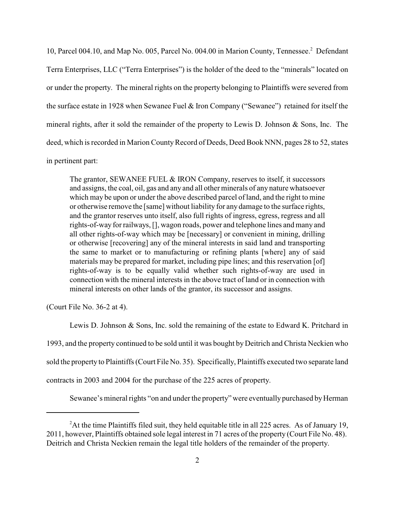10, Parcel 004.10, and Map No. 005, Parcel No. 004.00 in Marion County, Tennessee.<sup>2</sup> Defendant Terra Enterprises, LLC ("Terra Enterprises") is the holder of the deed to the "minerals" located on or under the property. The mineral rights on the property belonging to Plaintiffs were severed from the surface estate in 1928 when Sewanee Fuel & Iron Company ("Sewanee") retained for itself the mineral rights, after it sold the remainder of the property to Lewis D. Johnson & Sons, Inc. The deed, which is recorded in Marion County Record of Deeds, Deed Book NNN, pages 28 to 52, states in pertinent part:

The grantor, SEWANEE FUEL & IRON Company, reserves to itself, it successors and assigns, the coal, oil, gas and any and all other minerals of any nature whatsoever which may be upon or under the above described parcel of land, and the right to mine or otherwise remove the [same] without liability for any damage to the surface rights, and the grantor reserves unto itself, also full rights of ingress, egress, regress and all rights-of-way for railways, [], wagon roads, power and telephone lines and many and all other rights-of-way which may be [necessary] or convenient in mining, drilling or otherwise [recovering] any of the mineral interests in said land and transporting the same to market or to manufacturing or refining plants [where] any of said materials may be prepared for market, including pipe lines; and this reservation [of] rights-of-way is to be equally valid whether such rights-of-way are used in connection with the mineral interests in the above tract of land or in connection with mineral interests on other lands of the grantor, its successor and assigns.

(Court File No. 36-2 at 4).

Lewis D. Johnson & Sons, Inc. sold the remaining of the estate to Edward K. Pritchard in 1993, and the property continued to be sold until it was bought by Deitrich and Christa Neckien who sold the property to Plaintiffs (Court File No. 35). Specifically, Plaintiffs executed two separate land contracts in 2003 and 2004 for the purchase of the 225 acres of property.

Sewanee's mineral rights "on and under the property" were eventually purchased by Herman

<sup>&</sup>lt;sup>2</sup>At the time Plaintiffs filed suit, they held equitable title in all 225 acres. As of January 19, 2011, however, Plaintiffs obtained sole legal interest in 71 acres of the property (Court File No. 48). Deitrich and Christa Neckien remain the legal title holders of the remainder of the property.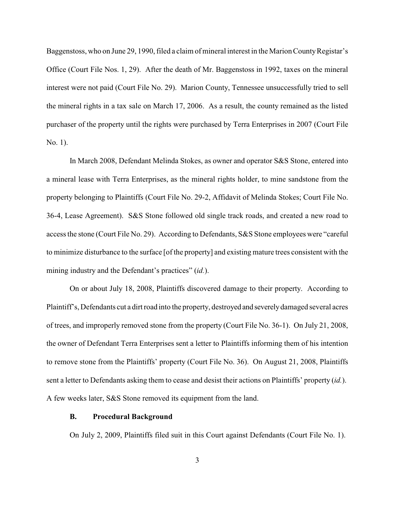Baggenstoss, who on June 29, 1990, filed a claim of mineral interest in the Marion County Registar's Office (Court File Nos. 1, 29). After the death of Mr. Baggenstoss in 1992, taxes on the mineral interest were not paid (Court File No. 29). Marion County, Tennessee unsuccessfully tried to sell the mineral rights in a tax sale on March 17, 2006. As a result, the county remained as the listed purchaser of the property until the rights were purchased by Terra Enterprises in 2007 (Court File No. 1).

In March 2008, Defendant Melinda Stokes, as owner and operator S&S Stone, entered into a mineral lease with Terra Enterprises, as the mineral rights holder, to mine sandstone from the property belonging to Plaintiffs (Court File No. 29-2, Affidavit of Melinda Stokes; Court File No. 36-4, Lease Agreement). S&S Stone followed old single track roads, and created a new road to access the stone (Court File No. 29). According to Defendants, S&S Stone employees were "careful to minimize disturbance to the surface [of the property] and existing mature trees consistent with the mining industry and the Defendant's practices" (*id.*).

On or about July 18, 2008, Plaintiffs discovered damage to their property. According to Plaintiff's, Defendants cut a dirt road into the property, destroyed and severely damaged several acres of trees, and improperly removed stone from the property (Court File No. 36-1). On July 21, 2008, the owner of Defendant Terra Enterprises sent a letter to Plaintiffs informing them of his intention to remove stone from the Plaintiffs' property (Court File No. 36). On August 21, 2008, Plaintiffs sent a letter to Defendants asking them to cease and desist their actions on Plaintiffs' property (*id.*). A few weeks later, S&S Stone removed its equipment from the land.

#### **B. Procedural Background**

On July 2, 2009, Plaintiffs filed suit in this Court against Defendants (Court File No. 1).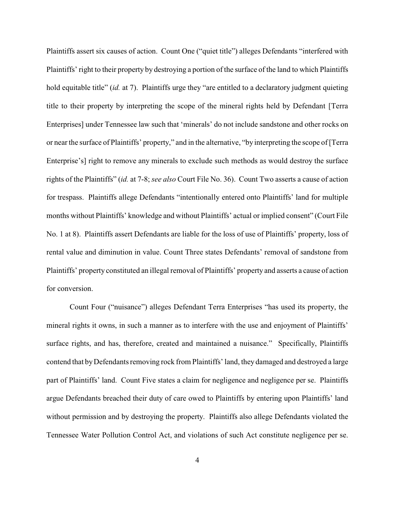Plaintiffs assert six causes of action. Count One ("quiet title") alleges Defendants "interfered with Plaintiffs' right to their property by destroying a portion of the surface of the land to which Plaintiffs hold equitable title" *(id.* at 7). Plaintiffs urge they "are entitled to a declaratory judgment quieting title to their property by interpreting the scope of the mineral rights held by Defendant [Terra Enterprises] under Tennessee law such that 'minerals' do not include sandstone and other rocks on or near the surface of Plaintiffs' property," and in the alternative, "by interpreting the scope of [Terra Enterprise's] right to remove any minerals to exclude such methods as would destroy the surface rights of the Plaintiffs" (*id.* at 7-8; *see also* Court File No. 36). Count Two asserts a cause of action for trespass. Plaintiffs allege Defendants "intentionally entered onto Plaintiffs' land for multiple months without Plaintiffs' knowledge and without Plaintiffs' actual or implied consent" (Court File No. 1 at 8). Plaintiffs assert Defendants are liable for the loss of use of Plaintiffs' property, loss of rental value and diminution in value. Count Three states Defendants' removal of sandstone from Plaintiffs' property constituted an illegal removal of Plaintiffs' property and asserts a cause of action for conversion.

Count Four ("nuisance") alleges Defendant Terra Enterprises "has used its property, the mineral rights it owns, in such a manner as to interfere with the use and enjoyment of Plaintiffs' surface rights, and has, therefore, created and maintained a nuisance." Specifically, Plaintiffs contend that by Defendants removing rock from Plaintiffs' land, they damaged and destroyed a large part of Plaintiffs' land. Count Five states a claim for negligence and negligence per se. Plaintiffs argue Defendants breached their duty of care owed to Plaintiffs by entering upon Plaintiffs' land without permission and by destroying the property. Plaintiffs also allege Defendants violated the Tennessee Water Pollution Control Act, and violations of such Act constitute negligence per se.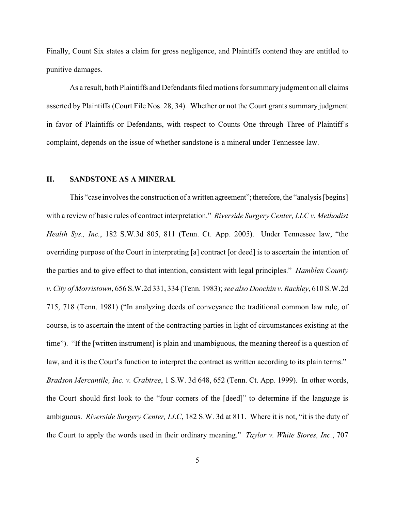Finally, Count Six states a claim for gross negligence, and Plaintiffs contend they are entitled to punitive damages.

As a result, both Plaintiffs and Defendants filed motions for summary judgment on all claims asserted by Plaintiffs (Court File Nos. 28, 34). Whether or not the Court grants summary judgment in favor of Plaintiffs or Defendants, with respect to Counts One through Three of Plaintiff's complaint, depends on the issue of whether sandstone is a mineral under Tennessee law.

#### **II. SANDSTONE AS A MINERAL**

This "case involves the construction of a written agreement"; therefore, the "analysis [begins] with a review of basic rules of contract interpretation." *Riverside Surgery Center, LLC v. Methodist Health Sys., Inc.*, 182 S.W.3d 805, 811 (Tenn. Ct. App. 2005). Under Tennessee law, "the overriding purpose of the Court in interpreting [a] contract [or deed] is to ascertain the intention of the parties and to give effect to that intention, consistent with legal principles." *Hamblen County v. City of Morristown*, 656 S.W.2d 331, 334 (Tenn. 1983); *see also Doochin v. Rackley*, 610 S.W.2d 715, 718 (Tenn. 1981) ("In analyzing deeds of conveyance the traditional common law rule, of course, is to ascertain the intent of the contracting parties in light of circumstances existing at the time"). "If the [written instrument] is plain and unambiguous, the meaning thereof is a question of law, and it is the Court's function to interpret the contract as written according to its plain terms." *Bradson Mercantile, Inc. v. Crabtree*, 1 S.W. 3d 648, 652 (Tenn. Ct. App. 1999). In other words, the Court should first look to the "four corners of the [deed]" to determine if the language is ambiguous. *Riverside Surgery Center, LLC*, 182 S.W. 3d at 811. Where it is not, "it is the duty of the Court to apply the words used in their ordinary meaning." *Taylor v. White Stores, Inc.*, 707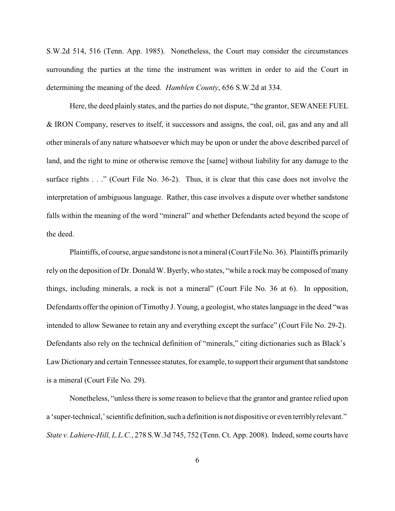S.W.2d 514, 516 (Tenn. App. 1985). Nonetheless, the Court may consider the circumstances surrounding the parties at the time the instrument was written in order to aid the Court in determining the meaning of the deed. *Hamblen County*, 656 S.W.2d at 334.

Here, the deed plainly states, and the parties do not dispute, "the grantor, SEWANEE FUEL & IRON Company, reserves to itself, it successors and assigns, the coal, oil, gas and any and all other minerals of any nature whatsoever which may be upon or under the above described parcel of land, and the right to mine or otherwise remove the [same] without liability for any damage to the surface rights . . ." (Court File No. 36-2). Thus, it is clear that this case does not involve the interpretation of ambiguous language. Rather, this case involves a dispute over whether sandstone falls within the meaning of the word "mineral" and whether Defendants acted beyond the scope of the deed.

Plaintiffs, of course, argue sandstone is not a mineral (Court File No. 36). Plaintiffs primarily rely on the deposition of Dr. Donald W. Byerly, who states, "while a rock may be composed of many things, including minerals, a rock is not a mineral" (Court File No. 36 at 6). In opposition, Defendants offer the opinion of Timothy J. Young, a geologist, who states language in the deed "was intended to allow Sewanee to retain any and everything except the surface" (Court File No. 29-2). Defendants also rely on the technical definition of "minerals," citing dictionaries such as Black's Law Dictionary and certain Tennessee statutes, for example, to support their argument that sandstone is a mineral (Court File No. 29).

Nonetheless, "unless there is some reason to believe that the grantor and grantee relied upon a 'super-technical,' scientific definition, such a definition is not dispositive or even terribly relevant." *State v. Lahiere-Hill, L.L.C.*, 278 S.W.3d 745, 752 (Tenn. Ct. App. 2008). Indeed, some courts have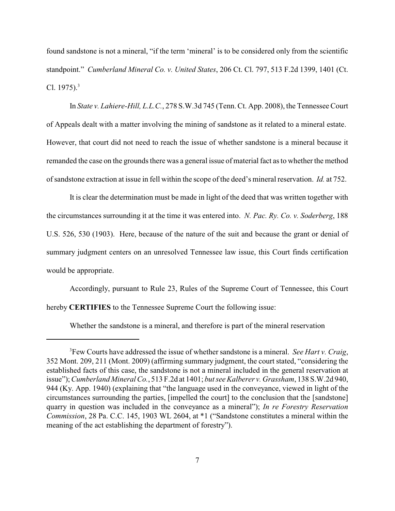found sandstone is not a mineral, "if the term 'mineral' is to be considered only from the scientific standpoint." *Cumberland Mineral Co. v. United States*, 206 Ct. Cl. 797, 513 F.2d 1399, 1401 (Ct. Cl.  $1975$ ).<sup>3</sup>

In *State v. Lahiere-Hill, L.L.C.*, 278 S.W.3d 745 (Tenn. Ct. App. 2008), the Tennessee Court of Appeals dealt with a matter involving the mining of sandstone as it related to a mineral estate. However, that court did not need to reach the issue of whether sandstone is a mineral because it remanded the case on the grounds there was a general issue of material fact as to whether the method of sandstone extraction at issue in fell within the scope of the deed's mineral reservation. *Id.* at 752.

It is clear the determination must be made in light of the deed that was written together with the circumstances surrounding it at the time it was entered into. *N. Pac. Ry. Co. v. Soderberg*, 188 U.S. 526, 530 (1903). Here, because of the nature of the suit and because the grant or denial of summary judgment centers on an unresolved Tennessee law issue, this Court finds certification would be appropriate.

Accordingly, pursuant to Rule 23, Rules of the Supreme Court of Tennessee, this Court hereby **CERTIFIES** to the Tennessee Supreme Court the following issue:

Whether the sandstone is a mineral, and therefore is part of the mineral reservation

<sup>&</sup>lt;sup>3</sup> Few Courts have addressed the issue of whether sandstone is a mineral. *See Hart v. Craig*, 352 Mont. 209, 211 (Mont. 2009) (affirming summary judgment, the court stated, "considering the established facts of this case, the sandstone is not a mineral included in the general reservation at issue"); *Cumberland Mineral Co.*, 513 F.2d at 1401; *but see Kalberer v. Grassham*, 138 S.W.2d 940, 944 (Ky. App. 1940) (explaining that "the language used in the conveyance, viewed in light of the circumstances surrounding the parties, [impelled the court] to the conclusion that the [sandstone] quarry in question was included in the conveyance as a mineral"); *In re Forestry Reservation Commission*, 28 Pa. C.C. 145, 1903 WL 2604, at \*1 ("Sandstone constitutes a mineral within the meaning of the act establishing the department of forestry").